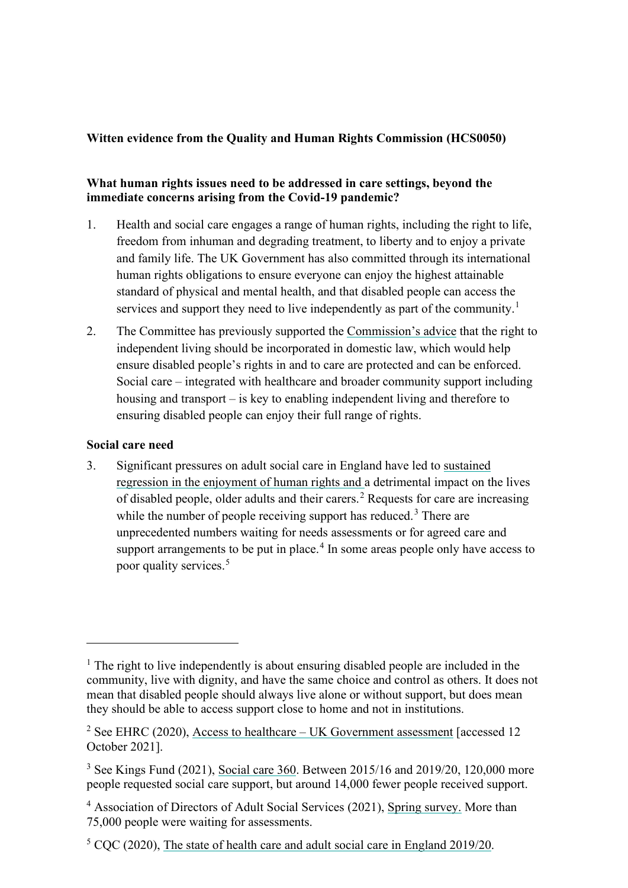## **Witten evidence from the Quality and Human Rights Commission (HCS0050)**

## **What human rights issues need to be addressed in care settings, beyond the immediate concerns arising from the Covid-19 pandemic?**

- 1. Health and social care engages a range of human rights, including the right to life, freedom from inhuman and degrading treatment, to liberty and to enjoy a private and family life. The UK Government has also committed through its international human rights obligations to ensure everyone can enjoy the highest attainable standard of physical and mental health, and that disabled people can access the services and support they need to live independently as part of the community.<sup>1</sup>
- 2. The Committee has previously supported the Commission's advice that the right to independent living should be incorporated in domestic law, which would help ensure disabled people's rights in and to care are protected and can be enforced. Social care – integrated with healthcare and broader community support including housing and transport – is key to enabling independent living and therefore to ensuring disabled people can enjoy their full range of rights.

#### **Social care need**

3. Significant pressures on adult social care in England have led to sustained regression in the enjoyment of human rights and a detrimental impact on the lives of disabled people, older adults and their carers.<sup>2</sup> Requests for care are increasing while the number of people receiving support has reduced.<sup>3</sup> There are unprecedented numbers waiting for needs assessments or for agreed care and support arrangements to be put in place.<sup>4</sup> In some areas people only have access to poor quality services.<sup>5</sup>

<sup>&</sup>lt;sup>1</sup> The right to live independently is about ensuring disabled people are included in the community, live with dignity, and have the same choice and control as others. It does not mean that disabled people should always live alone or without support, but does mean they should be able to access support close to home and not in institutions.

<sup>&</sup>lt;sup>2</sup> See EHRC (2020), Access to healthcare – UK Government assessment [accessed 12 October 2021].

<sup>&</sup>lt;sup>3</sup> See Kings Fund (2021), Social care 360. Between 2015/16 and 2019/20, 120,000 more people requested social care support, but around 14,000 fewer people received support.

<sup>&</sup>lt;sup>4</sup> Association of Directors of Adult Social Services (2021), Spring survey. More than 75,000 people were waiting for assessments.

<sup>&</sup>lt;sup>5</sup> CQC (2020), The state of health care and adult social care in England 2019/20.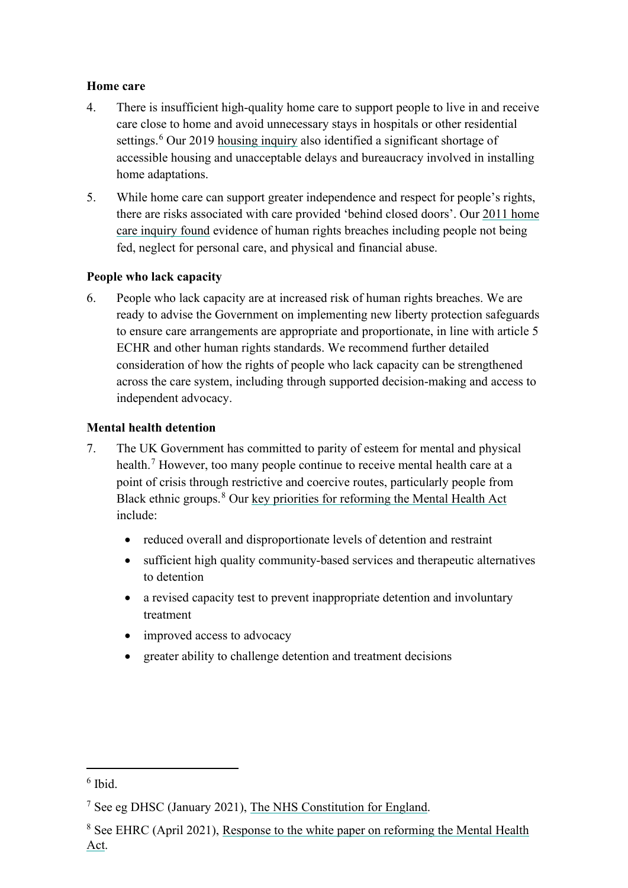## **Home care**

- 4. There is insufficient high-quality home care to support people to live in and receive care close to home and avoid unnecessary stays in hospitals or other residential settings.<sup>6</sup> Our 2019 housing inquiry also identified a significant shortage of accessible housing and unacceptable delays and bureaucracy involved in installing home adaptations.
- 5. While home care can support greater independence and respect for people's rights, there are risks associated with care provided 'behind closed doors'. Our 2011 home care inquiry found evidence of human rights breaches including people not being fed, neglect for personal care, and physical and financial abuse.

## **People who lack capacity**

6. People who lack capacity are at increased risk of human rights breaches. We are ready to advise the Government on implementing new liberty protection safeguards to ensure care arrangements are appropriate and proportionate, in line with article 5 ECHR and other human rights standards. We recommend further detailed consideration of how the rights of people who lack capacity can be strengthened across the care system, including through supported decision-making and access to independent advocacy.

#### **Mental health detention**

- 7. The UK Government has committed to parity of esteem for mental and physical health.<sup>7</sup> However, too many people continue to receive mental health care at a point of crisis through restrictive and coercive routes, particularly people from Black ethnic groups.<sup>8</sup> Our key priorities for reforming the Mental Health Act include:
	- reduced overall and disproportionate levels of detention and restraint
	- sufficient high quality community-based services and therapeutic alternatives to detention
	- a revised capacity test to prevent inappropriate detention and involuntary treatment
	- improved access to advocacy
	- greater ability to challenge detention and treatment decisions

<sup>6</sup> Ibid.

<sup>&</sup>lt;sup>7</sup> See eg DHSC (January 2021), The NHS Constitution for England.

<sup>&</sup>lt;sup>8</sup> See EHRC (April 2021), Response to the white paper on reforming the Mental Health Act.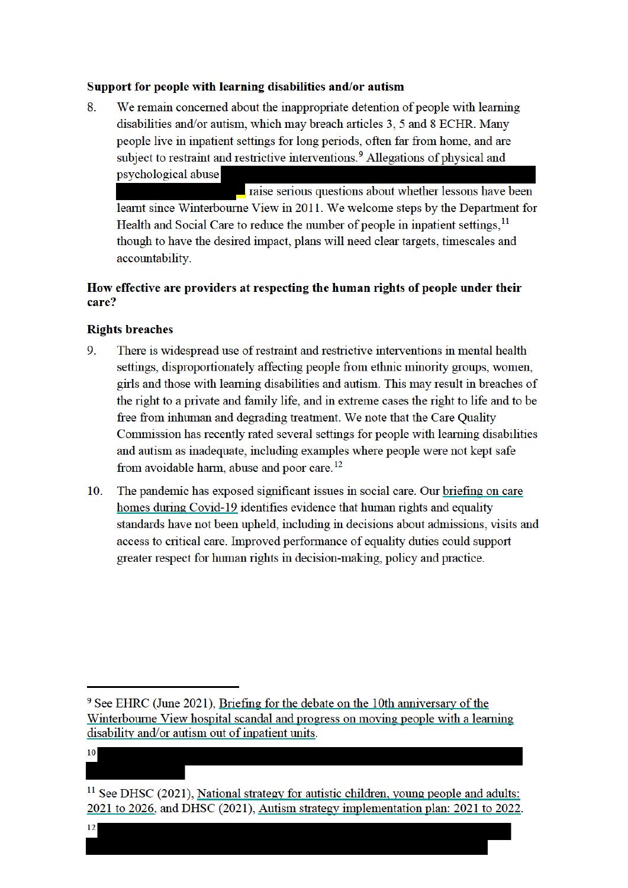#### Support for people with learning disabilities and/or autism

8. We remain concerned about the inappropriate detention of people with learning disabilities and/or autism, which may breach articles 3, 5 and 8 ECHR. Many people live in inpatient settings for long periods, often far from home, and are subject to restraint and restrictive interventions.<sup>9</sup> Allegations of physical and psychological abuse

raise serious questions about whether lessons have been learnt since Winterbourne View in 2011. We welcome steps by the Department for Health and Social Care to reduce the number of people in inpatient settings.<sup>11</sup> though to have the desired impact, plans will need clear targets, timescales and accountability.

## How effective are providers at respecting the human rights of people under their care?

#### **Rights breaches**

- 9 There is widespread use of restraint and restrictive interventions in mental health settings, disproportionately affecting people from ethnic minority groups, women, girls and those with learning disabilities and autism. This may result in breaches of the right to a private and family life, and in extreme cases the right to life and to be free from inhuman and degrading treatment. We note that the Care Ouality Commission has recently rated several settings for people with learning disabilities and autism as inadequate, including examples where people were not kept safe from avoidable harm, abuse and poor care.<sup>12</sup>
- The pandemic has exposed significant issues in social care. Our briefing on care  $10.$ homes during Covid-19 identifies evidence that human rights and equality standards have not been upheld, including in decisions about admissions, visits and access to critical care. Improved performance of equality duties could support greater respect for human rights in decision-making, policy and practice.

 $10$ 

<sup>&</sup>lt;sup>9</sup> See EHRC (June 2021), Briefing for the debate on the 10th anniversary of the Winterbourne View hospital scandal and progress on moving people with a learning disability and/or autism out of inpatient units.

 $11$  See DHSC (2021), National strategy for autistic children, young people and adults: 2021 to 2026, and DHSC (2021), Autism strategy implementation plan: 2021 to 2022.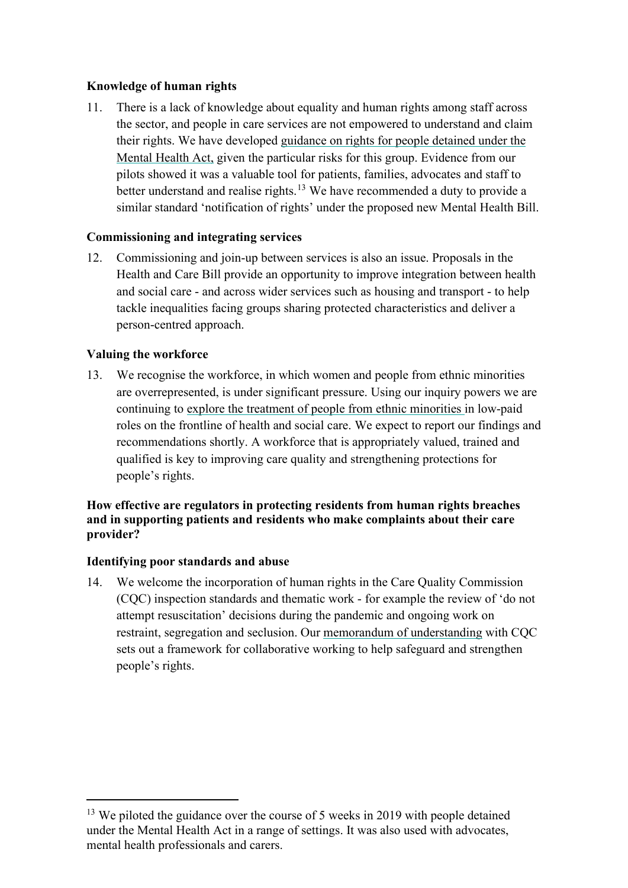## **Knowledge of human rights**

11. There is a lack of knowledge about equality and human rights among staff across the sector, and people in care services are not empowered to understand and claim their rights. We have developed guidance on rights for people detained under the Mental Health Act, given the particular risks for this group. Evidence from our pilots showed it was a valuable tool for patients, families, advocates and staff to better understand and realise rights.<sup>13</sup> We have recommended a duty to provide a similar standard 'notification of rights' under the proposed new Mental Health Bill.

## **Commissioning and integrating services**

12. Commissioning and join-up between services is also an issue. Proposals in the Health and Care Bill provide an opportunity to improve integration between health and social care - and across wider services such as housing and transport - to help tackle inequalities facing groups sharing protected characteristics and deliver a person-centred approach.

## **Valuing the workforce**

13. We recognise the workforce, in which women and people from ethnic minorities are overrepresented, is under significant pressure. Using our inquiry powers we are continuing to explore the treatment of people from ethnic minorities in low-paid roles on the frontline of health and social care. We expect to report our findings and recommendations shortly. A workforce that is appropriately valued, trained and qualified is key to improving care quality and strengthening protections for people's rights.

## **How effective are regulators in protecting residents from human rights breaches and in supporting patients and residents who make complaints about their care provider?**

## **Identifying poor standards and abuse**

14. We welcome the incorporation of human rights in the Care Quality Commission (CQC) inspection standards and thematic work - for example the review of 'do not attempt resuscitation' decisions during the pandemic and ongoing work on restraint, segregation and seclusion. Our memorandum of understanding with CQC sets out a framework for collaborative working to help safeguard and strengthen people's rights.

 $13$  We piloted the guidance over the course of 5 weeks in 2019 with people detained under the Mental Health Act in a range of settings. It was also used with advocates, mental health professionals and carers.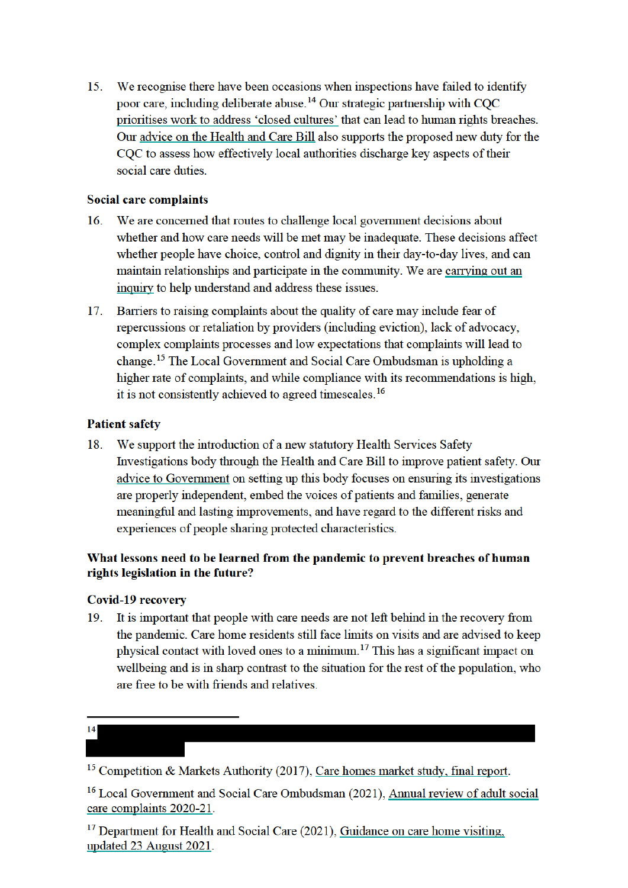$15.$ We recognise there have been occasions when inspections have failed to identify poor care, including deliberate abuse.<sup>14</sup> Our strategic partnership with COC prioritises work to address 'closed cultures' that can lead to human rights breaches. Our advice on the Health and Care Bill also supports the proposed new duty for the COC to assess how effectively local authorities discharge key aspects of their social care duties

## **Social care complaints**

- We are concerned that routes to challenge local government decisions about  $16<sup>1</sup>$ whether and how care needs will be met may be inadequate. These decisions affect whether people have choice, control and dignity in their day-to-day lives, and can maintain relationships and participate in the community. We are carrying out an inquiry to help understand and address these issues.
- Barriers to raising complaints about the quality of care may include fear of  $17<sup>7</sup>$ repercussions or retaliation by providers (including eviction), lack of advocacy, complex complaints processes and low expectations that complaints will lead to change.<sup>15</sup> The Local Government and Social Care Ombudsman is upholding a higher rate of complaints, and while compliance with its recommendations is high. it is not consistently achieved to agreed timescales.<sup>16</sup>

## **Patient safety**

We support the introduction of a new statutory Health Services Safety 18. Investigations body through the Health and Care Bill to improve patient safety. Our advice to Government on setting up this body focuses on ensuring its investigations are properly independent, embed the voices of patients and families, generate meaningful and lasting improvements, and have regard to the different risks and experiences of people sharing protected characteristics.

## What lessons need to be learned from the pandemic to prevent breaches of human rights legislation in the future?

## **Covid-19 recovery**

It is important that people with care needs are not left behind in the recovery from  $19<sub>1</sub>$ the pandemic. Care home residents still face limits on visits and are advised to keep physical contact with loved ones to a minimum.<sup>17</sup> This has a significant impact on wellbeing and is in sharp contrast to the situation for the rest of the population, who are free to be with friends and relatives.

# $14$

<sup>15</sup> Competition & Markets Authority (2017), Care homes market study, final report.

<sup>&</sup>lt;sup>16</sup> Local Government and Social Care Ombudsman (2021), Annual review of adult social care complaints 2020-21.

<sup>&</sup>lt;sup>17</sup> Department for Health and Social Care (2021), Guidance on care home visiting, updated 23 August 2021.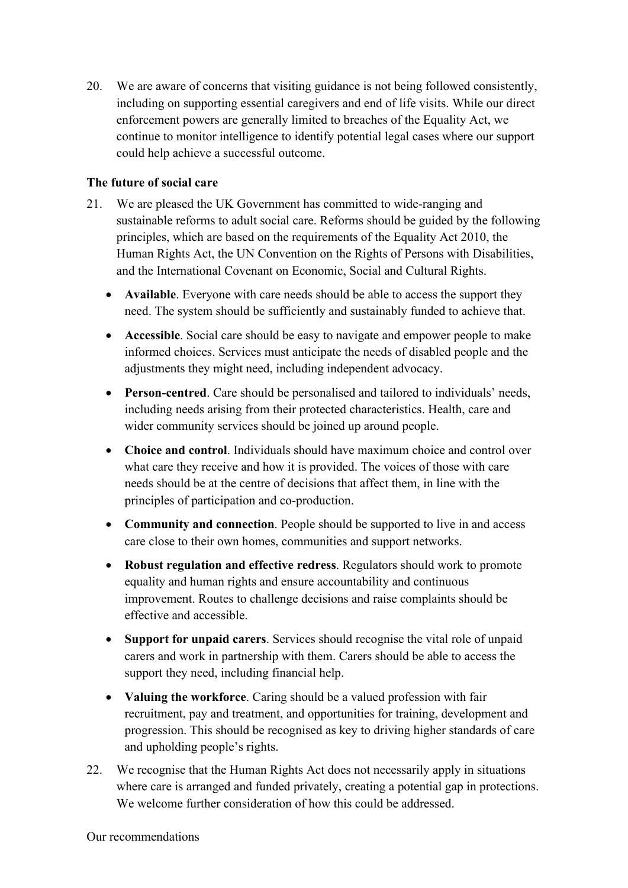20. We are aware of concerns that visiting guidance is not being followed consistently, including on supporting essential caregivers and end of life visits. While our direct enforcement powers are generally limited to breaches of the Equality Act, we continue to monitor intelligence to identify potential legal cases where our support could help achieve a successful outcome.

## **The future of social care**

- 21. We are pleased the UK Government has committed to wide-ranging and sustainable reforms to adult social care. Reforms should be guided by the following principles, which are based on the requirements of the Equality Act 2010, the Human Rights Act, the UN Convention on the Rights of Persons with Disabilities, and the International Covenant on Economic, Social and Cultural Rights.
	- **Available**. Everyone with care needs should be able to access the support they need. The system should be sufficiently and sustainably funded to achieve that.
	- **Accessible**. Social care should be easy to navigate and empower people to make informed choices. Services must anticipate the needs of disabled people and the adjustments they might need, including independent advocacy.
	- **Person-centred**. Care should be personalised and tailored to individuals' needs, including needs arising from their protected characteristics. Health, care and wider community services should be joined up around people.
	- **Choice and control**. Individuals should have maximum choice and control over what care they receive and how it is provided. The voices of those with care needs should be at the centre of decisions that affect them, in line with the principles of participation and co-production.
	- **Community and connection**. People should be supported to live in and access care close to their own homes, communities and support networks.
	- **Robust regulation and effective redress**. Regulators should work to promote equality and human rights and ensure accountability and continuous improvement. Routes to challenge decisions and raise complaints should be effective and accessible.
	- **Support for unpaid carers**. Services should recognise the vital role of unpaid carers and work in partnership with them. Carers should be able to access the support they need, including financial help.
	- **Valuing the workforce**. Caring should be a valued profession with fair recruitment, pay and treatment, and opportunities for training, development and progression. This should be recognised as key to driving higher standards of care and upholding people's rights.
- 22. We recognise that the Human Rights Act does not necessarily apply in situations where care is arranged and funded privately, creating a potential gap in protections. We welcome further consideration of how this could be addressed.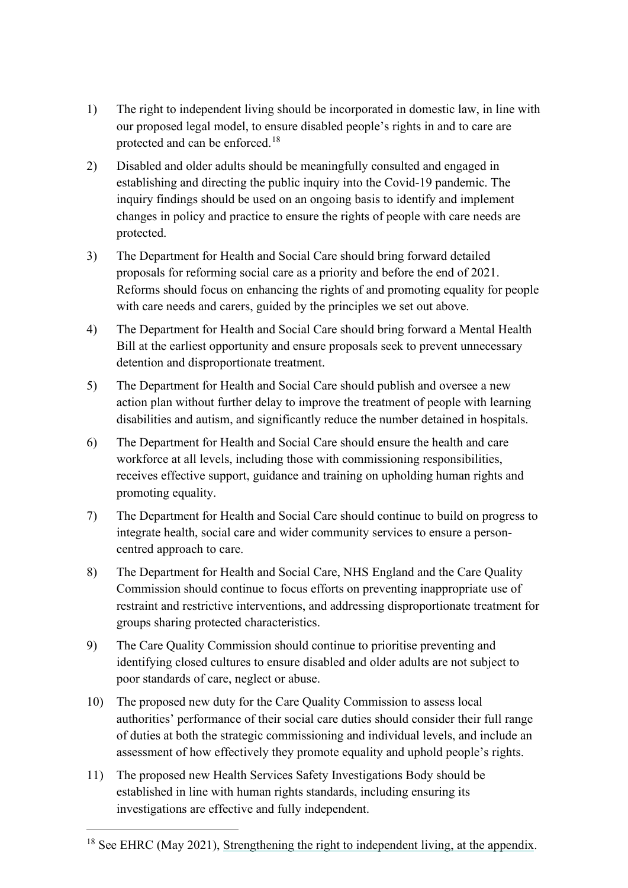- 1) The right to independent living should be incorporated in domestic law, in line with our proposed legal model, to ensure disabled people's rights in and to care are protected and can be enforced.<sup>18</sup>
- 2) Disabled and older adults should be meaningfully consulted and engaged in establishing and directing the public inquiry into the Covid-19 pandemic. The inquiry findings should be used on an ongoing basis to identify and implement changes in policy and practice to ensure the rights of people with care needs are protected.
- 3) The Department for Health and Social Care should bring forward detailed proposals for reforming social care as a priority and before the end of 2021. Reforms should focus on enhancing the rights of and promoting equality for people with care needs and carers, guided by the principles we set out above.
- 4) The Department for Health and Social Care should bring forward a Mental Health Bill at the earliest opportunity and ensure proposals seek to prevent unnecessary detention and disproportionate treatment.
- 5) The Department for Health and Social Care should publish and oversee a new action plan without further delay to improve the treatment of people with learning disabilities and autism, and significantly reduce the number detained in hospitals.
- 6) The Department for Health and Social Care should ensure the health and care workforce at all levels, including those with commissioning responsibilities, receives effective support, guidance and training on upholding human rights and promoting equality.
- 7) The Department for Health and Social Care should continue to build on progress to integrate health, social care and wider community services to ensure a personcentred approach to care.
- 8) The Department for Health and Social Care, NHS England and the Care Quality Commission should continue to focus efforts on preventing inappropriate use of restraint and restrictive interventions, and addressing disproportionate treatment for groups sharing protected characteristics.
- 9) The Care Quality Commission should continue to prioritise preventing and identifying closed cultures to ensure disabled and older adults are not subject to poor standards of care, neglect or abuse.
- 10) The proposed new duty for the Care Quality Commission to assess local authorities' performance of their social care duties should consider their full range of duties at both the strategic commissioning and individual levels, and include an assessment of how effectively they promote equality and uphold people's rights.
- 11) The proposed new Health Services Safety Investigations Body should be established in line with human rights standards, including ensuring its investigations are effective and fully independent.

<sup>&</sup>lt;sup>18</sup> See EHRC (May 2021), Strengthening the right to independent living, at the appendix.